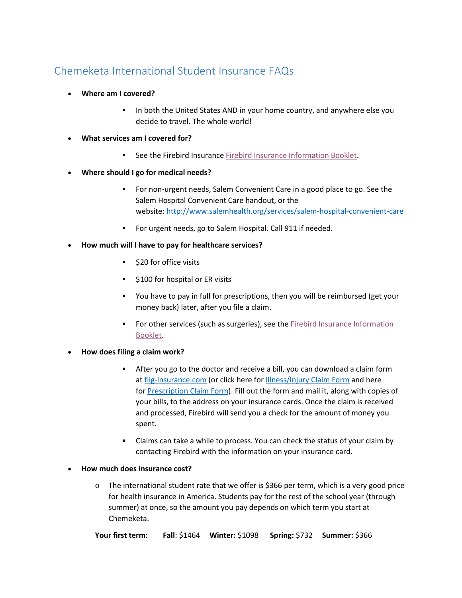## Chemeketa International Student Insurance FAQs

- **Where am I covered?**
	- In both the United States AND in your home country, and anywhere else you decide to travel. The whole world!
- **What services am I covered for?**
	- **See the Firebird Insurance [Firebird Insurance Information Booklet.](http://fiig-insurance.com/pdf/CHEM.pdf)**
- **Where should I go for medical needs?**
	- For non-urgent needs, Salem Convenient Care in a good place to go. See the Salem Hospital Convenient Care handout, or the website: [http://www.salemhealth.org/services/salem-hospital-convenient-care](https://href.li/?http://www.salemhealth.org/services/salem-hospital-convenient-care)
	- For urgent needs, go to Salem Hospital. Call 911 if needed.
- **How much will I have to pay for healthcare services?**
	- **520 for office visits**
	- \$100 for hospital or ER visits
	- You have to pay in full for prescriptions, then you will be reimbursed (get your money back) later, after you file a claim.
	- For other services (such as surgeries), see the **Firebird Insurance Information** [Booklet.](http://fiig-insurance.com/pdf/CHEM.pdf)
- **How does filing a claim work?**
	- After you go to the doctor and receive a bill, you can download a claim form at [fiig-insurance.com](https://href.li/?http://www.fiig-insurance.com) (or click here for [Illness/Injury Claim Form](http://fiig-insurance.com/pdf/claim.pdf) and here for [Prescription Claim Form\)](http://fiig-insurance.com/pdf/rx.pdf). Fill out the form and mail it, along with copies of your bills, to the address on your insurance cards. Once the claim is received and processed, Firebird will send you a check for the amount of money you spent.
	- Claims can take a while to process. You can check the status of your claim by contacting Firebird with the information on your insurance card.
- **How much does insurance cost?**
	- o The international student rate that we offer is \$366 per term, which is a very good price for health insurance in America. Students pay for the rest of the school year (through summer) at once, so the amount you pay depends on which term you start at Chemeketa.